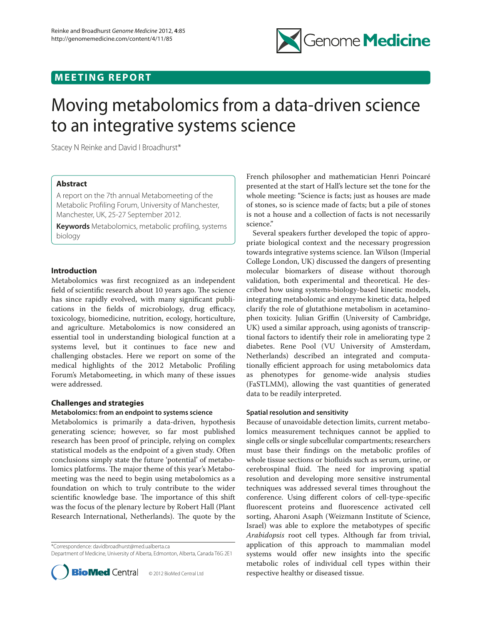

# **M E E T I N G R E P O R T**

# Moving metabolomics from a data-driven science to an integrative systems science

Stacey N Reinke and David I Broadhurst\*

# **Abstract**

A report on the 7th annual Metabomeeting of the Metabolic Profiling Forum, University of Manchester, Manchester, UK, 25-27 September 2012.

**Keywords** Metabolomics, metabolic profiling, systems biology

# **Introduction**

Metabolomics was first recognized as an independent field of scientific research about 10 years ago. The science has since rapidly evolved, with many significant publications in the fields of microbiology, drug efficacy, toxicology, biomedicine, nutrition, ecology, horticulture, and agriculture. Metabolomics is now considered an essential tool in understanding biological function at a systems level, but it continues to face new and challenging obstacles. Here we report on some of the medical highlights of the 2012 Metabolic Profiling Forum's Metabomeeting, in which many of these issues were addressed.

# **Challenges and strategies**

# **Metabolomics: from an endpoint to systems science**

Metabolomics is primarily a data-driven, hypothesis generating science; however, so far most published research has been proof of principle, relying on complex statistical models as the endpoint of a given study. Often conclusions simply state the future 'potential' of metabolomics platforms. The major theme of this year's Metabomeeting was the need to begin using metabolomics as a foundation on which to truly contribute to the wider scientific knowledge base. The importance of this shift was the focus of the plenary lecture by Robert Hall (Plant Research International, Netherlands). The quote by the

\*Correspondence: davidbroadhurst@med.ualberta.ca

Department of Medicine, University of Alberta, Edmonton, Alberta, Canada T6G 2E1



French philosopher and mathematician Henri Poincaré presented at the start of Hall's lecture set the tone for the whole meeting: "Science is facts; just as houses are made of stones, so is science made of facts; but a pile of stones is not a house and a collection of facts is not necessarily science."

Several speakers further developed the topic of appropriate biological context and the necessary progression towards integrative systems science. Ian Wilson (Imperial College London, UK) discussed the dangers of presenting molecular biomarkers of disease without thorough validation, both experimental and theoretical. He described how using systems-biology-based kinetic models, integrating metabolomic and enzyme kinetic data, helped clarify the role of glutathione metabolism in acetaminophen toxicity. Julian Griffin (University of Cambridge, UK) used a similar approach, using agonists of transcriptional factors to identify their role in ameliorating type 2 diabetes. Rene Pool (VU University of Amsterdam, Netherlands) described an integrated and computationally efficient approach for using metabolomics data as phenotypes for genome-wide analysis studies (FaSTLMM), allowing the vast quantities of generated data to be readily interpreted.

#### **Spatial resolution and sensitivity**

Because of unavoidable detection limits, current metabolomics measurement techniques cannot be applied to single cells or single subcellular compartments; researchers must base their findings on the metabolic profiles of whole tissue sections or biofluids such as serum, urine, or cerebrospinal fluid. The need for improving spatial resolution and developing more sensitive instrumental techniques was addressed several times throughout the conference. Using different colors of cell-type-specific fluorescent proteins and fluorescence activated cell sorting, Aharoni Asaph (Weizmann Institute of Science, Israel) was able to explore the metabotypes of specific *Arabidopsis* root cell types. Although far from trivial, application of this approach to mammalian model systems would offer new insights into the specific metabolic roles of individual cell types within their respective healthy or diseased tissue.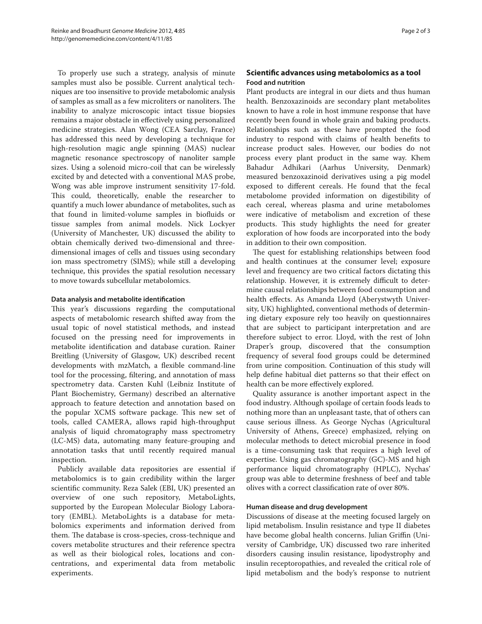To properly use such a strategy, analysis of minute samples must also be possible. Current analytical techniques are too insensitive to provide metabolomic analysis of samples as small as a few microliters or nanoliters. The inability to analyze microscopic intact tissue biopsies remains a major obstacle in effectively using personalized medicine strategies. Alan Wong (CEA Sarclay, France) has addressed this need by developing a technique for high-resolution magic angle spinning (MAS) nuclear magnetic resonance spectroscopy of nanoliter sample sizes. Using a solenoid micro-coil that can be wirelessly excited by and detected with a conventional MAS probe, Wong was able improve instrument sensitivity 17-fold. This could, theoretically, enable the researcher to quantify a much lower abundance of metabolites, such as that found in limited-volume samples in biofluids or tissue samples from animal models. Nick Lockyer (University of Manchester, UK) discussed the ability to obtain chemically derived two-dimensional and threedimensional images of cells and tissues using secondary ion mass spectrometry (SIMS); while still a developing technique, this provides the spatial resolution necessary to move towards subcellular metabolomics.

# **Data analysis and metabolite identification**

This year's discussions regarding the computational aspects of metabolomic research shifted away from the usual topic of novel statistical methods, and instead focused on the pressing need for improvements in metabolite identification and database curation. Rainer Breitling (University of Glasgow, UK) described recent developments with mzMatch, a flexible command-line tool for the processing, filtering, and annotation of mass spectrometry data. Carsten Kuhl (Leibniz Institute of Plant Biochemistry, Germany) described an alternative approach to feature detection and annotation based on the popular XCMS software package. This new set of tools, called CAMERA, allows rapid high-throughput analysis of liquid chromatography mass spectrometry (LC-MS) data, automating many feature-grouping and annotation tasks that until recently required manual inspection.

Publicly available data repositories are essential if metabolomics is to gain credibility within the larger scientific community. Reza Salek (EBI, UK) presented an overview of one such repository, MetaboLights, supported by the European Molecular Biology Laboratory (EMBL). MetaboLights is a database for metabolomics experiments and information derived from them. The database is cross-species, cross-technique and covers metabolite structures and their reference spectra as well as their biological roles, locations and concentrations, and experimental data from metabolic experiments.

# **Scientific advances using metabolomics as a tool Food and nutrition**

Plant products are integral in our diets and thus human health. Benzoxazinoids are secondary plant metabolites known to have a role in host immune response that have recently been found in whole grain and baking products. Relationships such as these have prompted the food industry to respond with claims of health benefits to increase product sales. However, our bodies do not process every plant product in the same way. Khem Bahadur Adhikari (Aarhus University, Denmark) measured benzoxazinoid derivatives using a pig model exposed to different cereals. He found that the fecal metabolome provided information on digestibility of each cereal, whereas plasma and urine metabolomes were indicative of metabolism and excretion of these products. This study highlights the need for greater exploration of how foods are incorporated into the body in addition to their own composition.

The quest for establishing relationships between food and health continues at the consumer level; exposure level and frequency are two critical factors dictating this relationship. However, it is extremely difficult to determine causal relationships between food consumption and health effects. As Amanda Lloyd (Aberystwyth University, UK) highlighted, conventional methods of determining dietary exposure rely too heavily on questionnaires that are subject to participant interpretation and are therefore subject to error. Lloyd, with the rest of John Draper's group, discovered that the consumption frequency of several food groups could be determined from urine composition. Continuation of this study will help define habitual diet patterns so that their effect on health can be more effectively explored.

Quality assurance is another important aspect in the food industry. Although spoilage of certain foods leads to nothing more than an unpleasant taste, that of others can cause serious illness. As George Nychas (Agricultural University of Athens, Greece) emphasized, relying on molecular methods to detect microbial presence in food is a time-consuming task that requires a high level of expertise. Using gas chromatography (GC)-MS and high performance liquid chromatography (HPLC), Nychas' group was able to determine freshness of beef and table olives with a correct classification rate of over 80%.

# **Human disease and drug development**

Discussions of disease at the meeting focused largely on lipid metabolism. Insulin resistance and type II diabetes have become global health concerns. Julian Griffin (University of Cambridge, UK) discussed two rare inherited disorders causing insulin resistance, lipodystrophy and insulin receptoropathies, and revealed the critical role of lipid metabolism and the body's response to nutrient